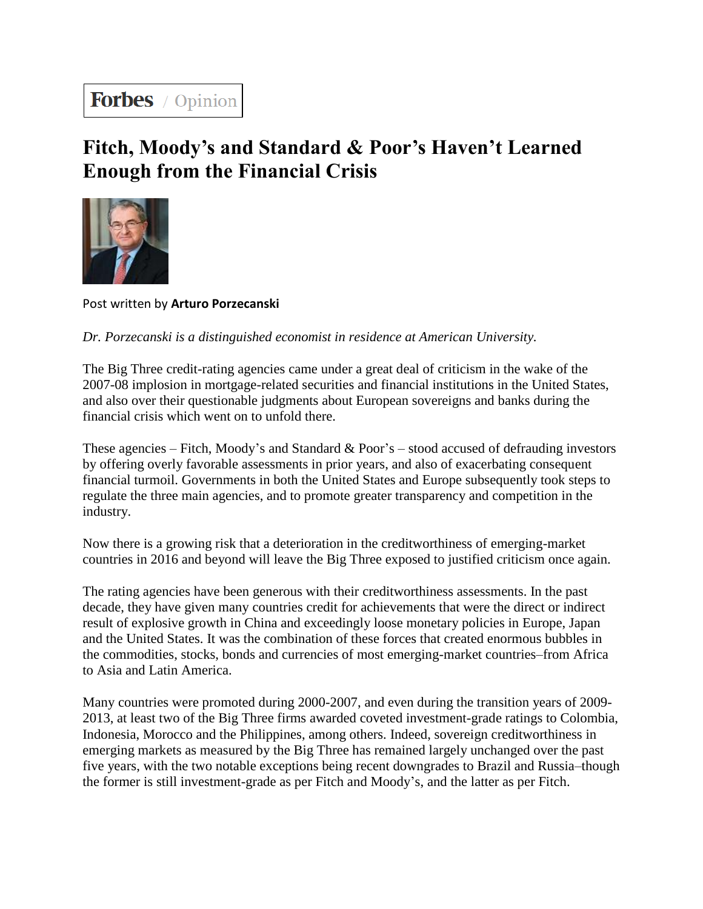# Forbes / Opinion

## **Fitch, Moody's and Standard & Poor's Haven't Learned Enough from the Financial Crisis**



Post written by **Arturo Porzecanski**

*Dr. Porzecanski is a distinguished economist in residence at American University.*

The Big Three credit-rating agencies came under a great deal of criticism in the wake of the 2007-08 implosion in mortgage-related securities and financial institutions in the United States, and also over their questionable judgments about European sovereigns and banks during the financial crisis which went on to unfold there.

These agencies – Fitch, Moody's and Standard & Poor's – stood accused of defrauding investors by offering overly favorable assessments in prior years, and also of exacerbating consequent financial turmoil. Governments in both the United States and Europe subsequently took steps to regulate the three main agencies, and to promote greater transparency and competition in the industry.

Now there is a growing risk that a deterioration in the creditworthiness of emerging-market countries in 2016 and beyond will leave the Big Three exposed to justified criticism once again.

The rating agencies have been generous with their creditworthiness assessments. In the past decade, they have given many countries credit for achievements that were the direct or indirect result of explosive growth in China and exceedingly loose monetary policies in Europe, Japan and the United States. It was the combination of these forces that created enormous bubbles in the commodities, stocks, bonds and currencies of most emerging-market countries–from Africa to Asia and Latin America.

Many countries were promoted during 2000-2007, and even during the transition years of 2009- 2013, at least two of the Big Three firms awarded coveted investment-grade ratings to Colombia, Indonesia, Morocco and the Philippines, among others. Indeed, sovereign creditworthiness in emerging markets as measured by the Big Three has remained largely unchanged over the past five years, with the two notable exceptions being recent downgrades to Brazil and Russia–though the former is still investment-grade as per Fitch and Moody's, and the latter as per Fitch.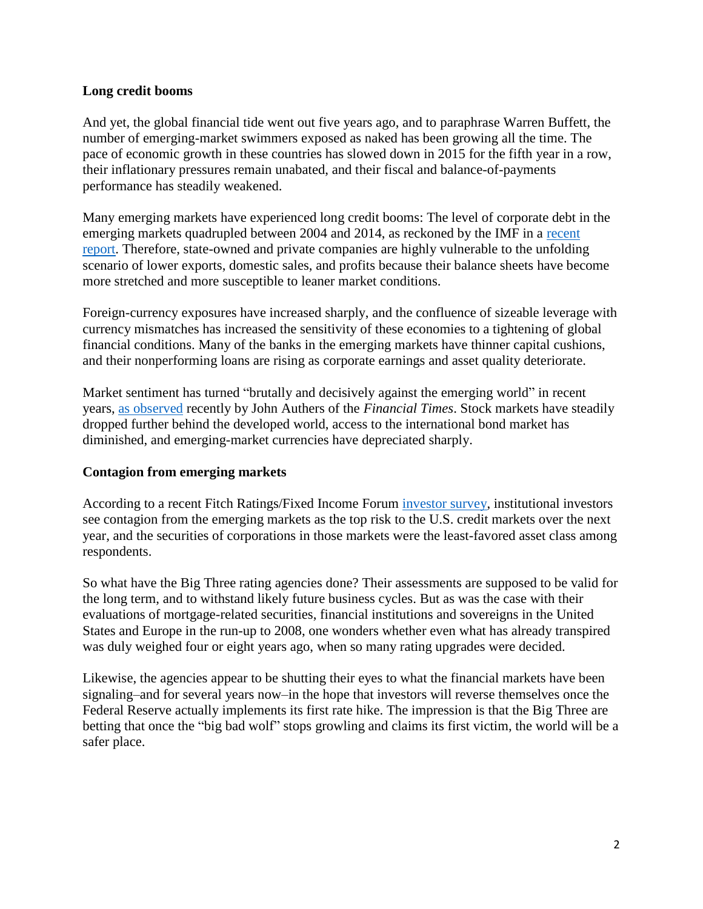#### **Long credit booms**

And yet, the global financial tide went out five years ago, and to paraphrase Warren Buffett, the number of emerging-market swimmers exposed as naked has been growing all the time. The pace of economic growth in these countries has slowed down in 2015 for the fifth year in a row, their inflationary pressures remain unabated, and their fiscal and balance-of-payments performance has steadily weakened.

Many emerging markets have experienced long credit booms: The level of corporate debt in the emerging markets quadrupled between 2004 and 2014, as reckoned by the IMF in a [recent](http://www.imf.org/External/Pubs/FT/GFSR/2015/02/pdf/text.pdf)  [report.](http://www.imf.org/External/Pubs/FT/GFSR/2015/02/pdf/text.pdf) Therefore, state-owned and private companies are highly vulnerable to the unfolding scenario of lower exports, domestic sales, and profits because their balance sheets have become more stretched and more susceptible to leaner market conditions.

Foreign-currency exposures have increased sharply, and the confluence of sizeable leverage with currency mismatches has increased the sensitivity of these economies to a tightening of global financial conditions. Many of the banks in the emerging markets have thinner capital cushions, and their nonperforming loans are rising as corporate earnings and asset quality deteriorate.

Market sentiment has turned "brutally and decisively against the emerging world" in recent years, [as observed](http://www.ft.com/intl/cms/s/0/4a615a26-8ee5-11e5-a549-b89a1dfede9b.html#axzz3sNi3geKP) recently by John Authers of the *Financial Times*. Stock markets have steadily dropped further behind the developed world, access to the international bond market has diminished, and emerging-market currencies have depreciated sharply.

### **Contagion from emerging markets**

According to a recent Fitch Ratings/Fixed Income Forum [investor survey,](https://www.fitchratings.com/site/fitch-home/pressrelease?id=993284) institutional investors see contagion from the emerging markets as the top risk to the U.S. credit markets over the next year, and the securities of corporations in those markets were the least-favored asset class among respondents.

So what have the Big Three rating agencies done? Their assessments are supposed to be valid for the long term, and to withstand likely future business cycles. But as was the case with their evaluations of mortgage-related securities, financial institutions and sovereigns in the United States and Europe in the run-up to 2008, one wonders whether even what has already transpired was duly weighed four or eight years ago, when so many rating upgrades were decided.

Likewise, the agencies appear to be shutting their eyes to what the financial markets have been signaling–and for several years now–in the hope that investors will reverse themselves once the Federal Reserve actually implements its first rate hike. The impression is that the Big Three are betting that once the "big bad wolf" stops growling and claims its first victim, the world will be a safer place.